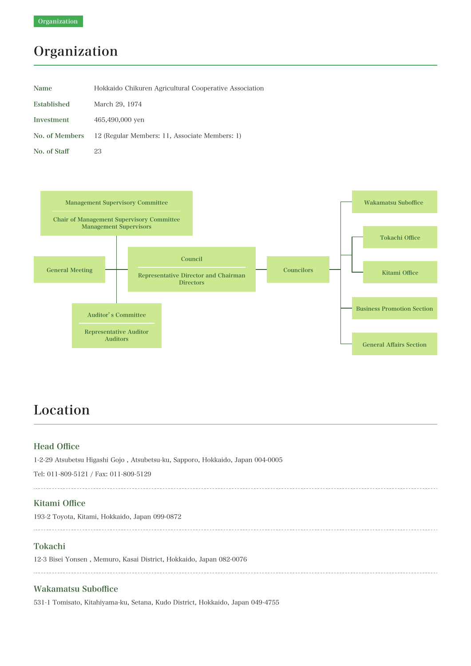## Organization

| <b>Name</b>    | Hokkaido Chikuren Agricultural Cooperative Association |
|----------------|--------------------------------------------------------|
| Established    | March 29, 1974                                         |
| Investment     | 465,490,000 ven                                        |
| No. of Members | 12 (Regular Members: 11, Associate Members: 1)         |
| No. of Staff   | 23                                                     |



### Location

#### Head Office

1-2-29 Atsubetsu Higashi Gojo , Atsubetsu-ku, Sapporo, Hokkaido, Japan 004-0005

Tel: 011-809-5121 / Fax: 011-809-5129

#### Kitami Office

193-2 Toyota, Kitami, Hokkaido, Japan 099-0872

#### Tokachi

12-3 Bisei Yonsen , Memuro, Kasai District, Hokkaido, Japan 082-0076

#### Wakamatsu Suboffice

531-1 Tomisato, Kitahiyama-ku, Setana, Kudo District, Hokkaido, Japan 049-4755